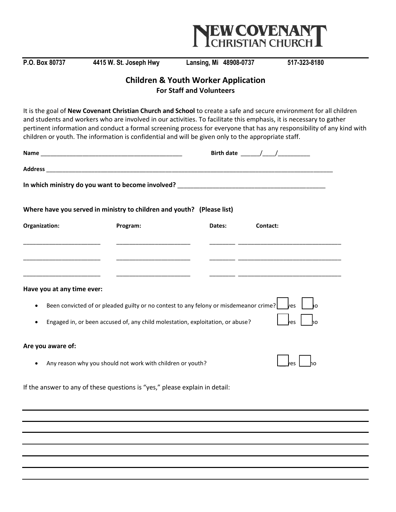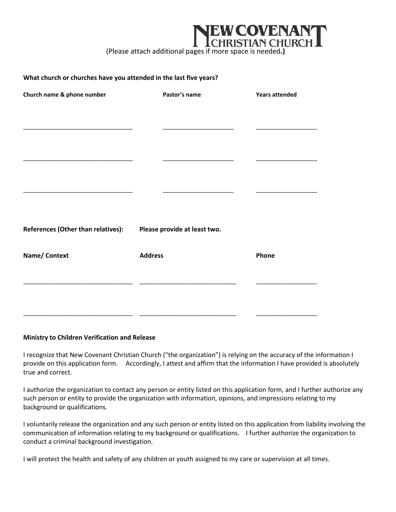## COVENAI **RISTIAN CHURCH**

(Please attach additional pages if more space is needed**.)**

## **What church or churches have you attended in the last five years?**

| Church name & phone number         | Pastor's name                | <b>Years attended</b> |
|------------------------------------|------------------------------|-----------------------|
|                                    |                              |                       |
|                                    |                              |                       |
|                                    |                              |                       |
|                                    |                              |                       |
|                                    |                              |                       |
|                                    |                              |                       |
| References (Other than relatives): | Please provide at least two. |                       |
| Name/ Context                      | <b>Address</b>               | Phone                 |
|                                    |                              |                       |
|                                    |                              |                       |
|                                    |                              |                       |

## **Ministry to Children Verification and Release**

I recognize that New Covenant Christian Church ("the organization") is relying on the accuracy of the information I provide on this application form. Accordingly, I attest and affirm that the information I have provided is absolutely true and correct.

I authorize the organization to contact any person or entity listed on this application form, and I further authorize any such person or entity to provide the organization with information, opinions, and impressions relating to my background or qualifications.

I voluntarily release the organization and any such person or entity listed on this application from liability involving the communication of information relating to my background or qualifications. I further authorize the organization to conduct a criminal background investigation.

I will protect the health and safety of any children or youth assigned to my care or supervision at all times.